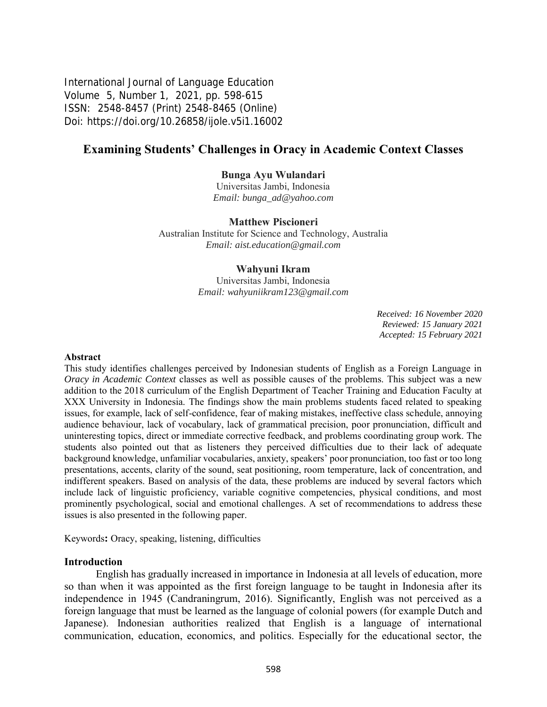International Journal of Language Education Volume 5, Number 1, 2021, pp. 598-615 ISSN: 2548-8457 (Print) 2548-8465 (Online) Doi: <https://doi.org/10.26858/ijole.v5i1.16002>

# **Examining Students' Challenges in Oracy in Academic Context Classes**

#### **Bunga Ayu Wulandari**

Universitas Jambi, Indonesia *Email: bunga\_ad@yahoo.com*

#### **Matthew Piscioneri**

Australian Institute for Science and Technology, Australia *Email: aist.education@gmail.com*

#### **Wahyuni Ikram**

Universitas Jambi, Indonesia *Email: wahyuniikram123@gmail.com*

> *Received: 16 November 2020 Reviewed: 15 January 2021 Accepted: 15 February 2021*

#### **Abstract**

This study identifies challenges perceived by Indonesian students of English as a Foreign Language in *Oracy in Academic Context* classes as well as possible causes of the problems. This subject was a new addition to the 2018 curriculum of the English Department of Teacher Training and Education Faculty at XXX University in Indonesia. The findings show the main problems students faced related to speaking issues, for example, lack of self-confidence, fear of making mistakes, ineffective class schedule, annoying audience behaviour, lack of vocabulary, lack of grammatical precision, poor pronunciation, difficult and uninteresting topics, direct or immediate corrective feedback, and problems coordinating group work. The students also pointed out that as listeners they perceived difficulties due to their lack of adequate background knowledge, unfamiliar vocabularies, anxiety, speakers' poor pronunciation, too fast or too long presentations, accents, clarity of the sound, seat positioning, room temperature, lack of concentration, and indifferent speakers. Based on analysis of the data, these problems are induced by several factors which include lack of linguistic proficiency, variable cognitive competencies, physical conditions, and most prominently psychological, social and emotional challenges. A set of recommendations to address these issues is also presented in the following paper.

Keywords**:** Oracy, speaking, listening, difficulties

#### **Introduction**

English has gradually increased in importance in Indonesia at all levels of education, more so than when it was appointed as the first foreign language to be taught in Indonesia after its independence in 1945 (Candraningrum, 2016). Significantly, English was not perceived as a foreign language that must be learned as the language of colonial powers (for example Dutch and Japanese). Indonesian authorities realized that English is a language of international communication, education, economics, and politics. Especially for the educational sector, the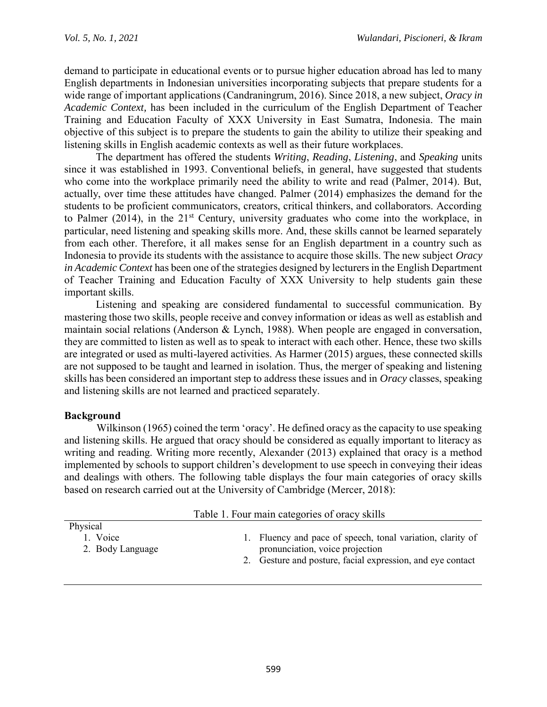demand to participate in educational events or to pursue higher education abroad has led to many English departments in Indonesian universities incorporating subjects that prepare students for a wide range of important applications (Candraningrum, 2016). Since 2018, a new subject, *Oracy in Academic Context,* has been included in the curriculum of the English Department of Teacher Training and Education Faculty of XXX University in East Sumatra, Indonesia. The main objective of this subject is to prepare the students to gain the ability to utilize their speaking and listening skills in English academic contexts as well as their future workplaces.

The department has offered the students *Writing*, *Reading*, *Listening*, and *Speaking* units since it was established in 1993. Conventional beliefs, in general, have suggested that students who come into the workplace primarily need the ability to write and read (Palmer, 2014). But, actually, over time these attitudes have changed. Palmer (2014) emphasizes the demand for the students to be proficient communicators, creators, critical thinkers, and collaborators. According to Palmer  $(2014)$ , in the  $21<sup>st</sup>$  Century, university graduates who come into the workplace, in particular, need listening and speaking skills more. And, these skills cannot be learned separately from each other. Therefore, it all makes sense for an English department in a country such as Indonesia to provide its students with the assistance to acquire those skills. The new subject *Oracy in Academic Context* has been one of the strategies designed by lecturers in the English Department of Teacher Training and Education Faculty of XXX University to help students gain these important skills.

Listening and speaking are considered fundamental to successful communication. By mastering those two skills, people receive and convey information or ideas as well as establish and maintain social relations (Anderson & Lynch, 1988). When people are engaged in conversation, they are committed to listen as well as to speak to interact with each other. Hence, these two skills are integrated or used as multi-layered activities. As Harmer (2015) argues, these connected skills are not supposed to be taught and learned in isolation. Thus, the merger of speaking and listening skills has been considered an important step to address these issues and in *Oracy* classes, speaking and listening skills are not learned and practiced separately.

## **Background**

Wilkinson (1965) coined the term 'oracy'. He defined oracy as the capacity to use speaking and listening skills. He argued that oracy should be considered as equally important to literacy as writing and reading. Writing more recently, Alexander (2013) explained that oracy is a method implemented by schools to support children's development to use speech in conveying their ideas and dealings with others. The following table displays the four main categories of oracy skills based on research carried out at the University of Cambridge (Mercer, 2018):

| Table 1. Four main categories of oracy skills |                                                                                                                                                             |  |  |  |
|-----------------------------------------------|-------------------------------------------------------------------------------------------------------------------------------------------------------------|--|--|--|
| Physical                                      |                                                                                                                                                             |  |  |  |
| 1. Voice<br>2. Body Language                  | 1. Fluency and pace of speech, tonal variation, clarity of<br>pronunciation, voice projection<br>2. Gesture and posture, facial expression, and eye contact |  |  |  |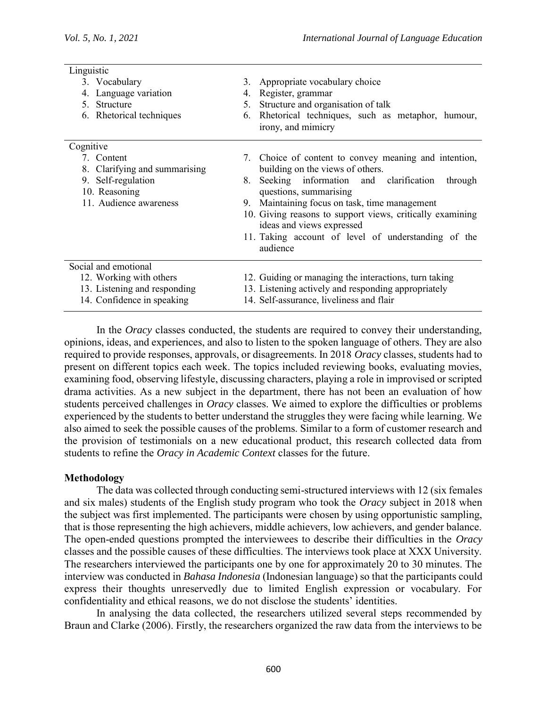| Linguistic |                               |    |                                                                                        |  |
|------------|-------------------------------|----|----------------------------------------------------------------------------------------|--|
|            | 3. Vocabulary                 |    | 3. Appropriate vocabulary choice                                                       |  |
|            | 4. Language variation         | 4. | Register, grammar                                                                      |  |
|            | 5. Structure                  | 5. | Structure and organisation of talk                                                     |  |
|            | 6. Rhetorical techniques      | 6. | Rhetorical techniques, such as metaphor, humour,<br>irony, and mimicry                 |  |
| Cognitive  |                               |    |                                                                                        |  |
|            | 7. Content                    |    | 7. Choice of content to convey meaning and intention,                                  |  |
|            | 8. Clarifying and summarising |    | building on the views of others.                                                       |  |
|            | 9. Self-regulation            | 8. | Seeking information and clarification<br>through                                       |  |
|            | 10. Reasoning                 |    | questions, summarising                                                                 |  |
|            | 11. Audience awareness        |    | 9. Maintaining focus on task, time management                                          |  |
|            |                               |    | 10. Giving reasons to support views, critically examining<br>ideas and views expressed |  |
|            |                               |    | 11. Taking account of level of understanding of the                                    |  |
|            |                               |    | audience                                                                               |  |
|            | Social and emotional          |    |                                                                                        |  |
|            | 12. Working with others       |    | 12. Guiding or managing the interactions, turn taking                                  |  |
|            | 13. Listening and responding  |    | 13. Listening actively and responding appropriately                                    |  |
|            | 14. Confidence in speaking    |    | 14. Self-assurance, liveliness and flair                                               |  |

In the *Oracy* classes conducted, the students are required to convey their understanding, opinions, ideas, and experiences, and also to listen to the spoken language of others. They are also required to provide responses, approvals, or disagreements. In 2018 *Oracy* classes, students had to present on different topics each week. The topics included reviewing books, evaluating movies, examining food, observing lifestyle, discussing characters, playing a role in improvised or scripted drama activities. As a new subject in the department, there has not been an evaluation of how students perceived challenges in *Oracy* classes. We aimed to explore the difficulties or problems experienced by the students to better understand the struggles they were facing while learning. We also aimed to seek the possible causes of the problems. Similar to a form of customer research and the provision of testimonials on a new educational product, this research collected data from students to refine the *Oracy in Academic Context* classes for the future.

#### **Methodology**

The data was collected through conducting semi-structured interviews with 12 (six females and six males) students of the English study program who took the *Oracy* subject in 2018 when the subject was first implemented. The participants were chosen by using opportunistic sampling, that is those representing the high achievers, middle achievers, low achievers, and gender balance. The open-ended questions prompted the interviewees to describe their difficulties in the *Oracy* classes and the possible causes of these difficulties. The interviews took place at XXX University. The researchers interviewed the participants one by one for approximately 20 to 30 minutes. The interview was conducted in *Bahasa Indonesia* (Indonesian language) so that the participants could express their thoughts unreservedly due to limited English expression or vocabulary. For confidentiality and ethical reasons, we do not disclose the students' identities.

In analysing the data collected, the researchers utilized several steps recommended by Braun and Clarke (2006). Firstly, the researchers organized the raw data from the interviews to be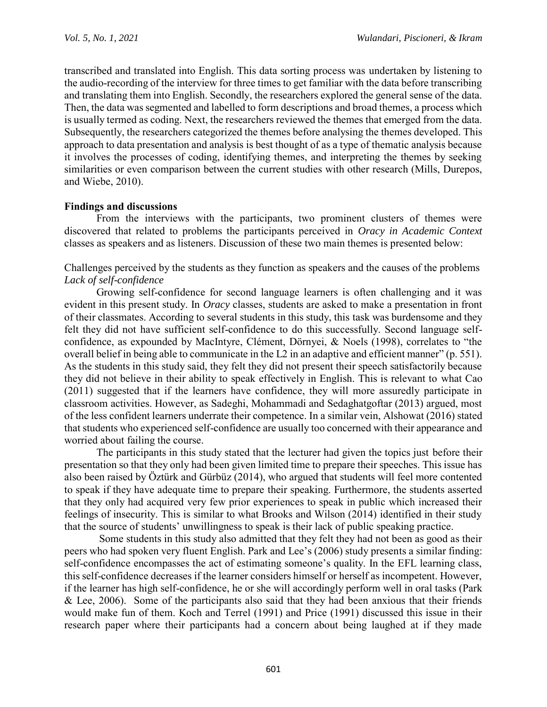transcribed and translated into English. This data sorting process was undertaken by listening to the audio-recording of the interview for three times to get familiar with the data before transcribing and translating them into English. Secondly, the researchers explored the general sense of the data. Then, the data was segmented and labelled to form descriptions and broad themes, a process which is usually termed as coding. Next, the researchers reviewed the themes that emerged from the data. Subsequently, the researchers categorized the themes before analysing the themes developed. This approach to data presentation and analysis is best thought of as a type of thematic analysis because it involves the processes of coding, identifying themes, and interpreting the themes by seeking similarities or even comparison between the current studies with other research (Mills, Durepos, and Wiebe, 2010).

#### **Findings and discussions**

From the interviews with the participants, two prominent clusters of themes were discovered that related to problems the participants perceived in *Oracy in Academic Context* classes as speakers and as listeners. Discussion of these two main themes is presented below:

Challenges perceived by the students as they function as speakers and the causes of the problems *Lack of self-confidence*

Growing self-confidence for second language learners is often challenging and it was evident in this present study. In *Oracy* classes, students are asked to make a presentation in front of their classmates. According to several students in this study, this task was burdensome and they felt they did not have sufficient self-confidence to do this successfully. Second language selfconfidence, as expounded by MacIntyre, Clément, Dörnyei, & Noels (1998), correlates to "the overall belief in being able to communicate in the L2 in an adaptive and efficient manner" (p. 551). As the students in this study said, they felt they did not present their speech satisfactorily because they did not believe in their ability to speak effectively in English. This is relevant to what Cao (2011) suggested that if the learners have confidence, they will more assuredly participate in classroom activities. However, as Sadeghi, Mohammadi and Sedaghatgoftar (2013) argued, most of the less confident learners underrate their competence. In a similar vein, Alshowat (2016) stated that students who experienced self-confidence are usually too concerned with their appearance and worried about failing the course.

The participants in this study stated that the lecturer had given the topics just before their presentation so that they only had been given limited time to prepare their speeches. This issue has also been raised by Öztürk and Gürbüz (2014), who argued that students will feel more contented to speak if they have adequate time to prepare their speaking. Furthermore, the students asserted that they only had acquired very few prior experiences to speak in public which increased their feelings of insecurity. This is similar to what Brooks and Wilson (2014) identified in their study that the source of students' unwillingness to speak is their lack of public speaking practice.

Some students in this study also admitted that they felt they had not been as good as their peers who had spoken very fluent English. Park and Lee's (2006) study presents a similar finding: self-confidence encompasses the act of estimating someone's quality. In the EFL learning class, this self-confidence decreases if the learner considers himself or herself as incompetent. However, if the learner has high self-confidence, he or she will accordingly perform well in oral tasks (Park & Lee, 2006). Some of the participants also said that they had been anxious that their friends would make fun of them. Koch and Terrel (1991) and Price (1991) discussed this issue in their research paper where their participants had a concern about being laughed at if they made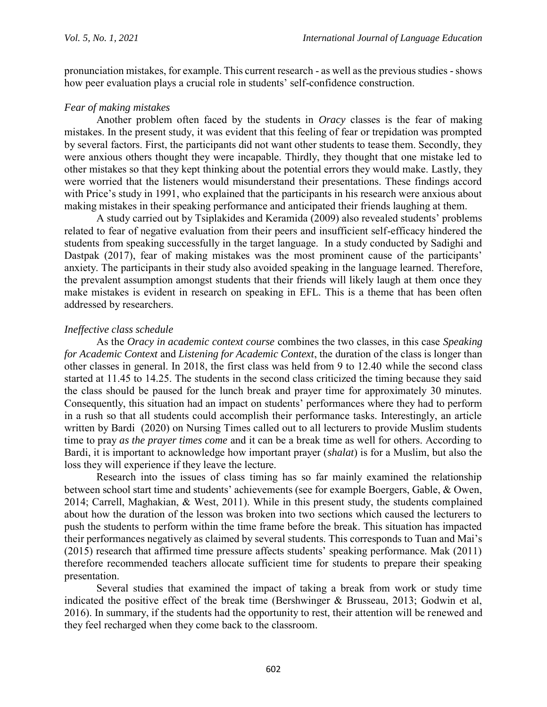pronunciation mistakes, for example. This current research - as well as the previous studies -shows how peer evaluation plays a crucial role in students' self-confidence construction.

#### *Fear of making mistakes*

Another problem often faced by the students in *Oracy* classes is the fear of making mistakes. In the present study, it was evident that this feeling of fear or trepidation was prompted by several factors. First, the participants did not want other students to tease them. Secondly, they were anxious others thought they were incapable. Thirdly, they thought that one mistake led to other mistakes so that they kept thinking about the potential errors they would make. Lastly, they were worried that the listeners would misunderstand their presentations. These findings accord with Price's study in 1991, who explained that the participants in his research were anxious about making mistakes in their speaking performance and anticipated their friends laughing at them.

A study carried out by Tsiplakides and Keramida (2009) also revealed students' problems related to fear of negative evaluation from their peers and insufficient self-efficacy hindered the students from speaking successfully in the target language. In a study conducted by Sadighi and Dastpak (2017), fear of making mistakes was the most prominent cause of the participants' anxiety. The participants in their study also avoided speaking in the language learned. Therefore, the prevalent assumption amongst students that their friends will likely laugh at them once they make mistakes is evident in research on speaking in EFL. This is a theme that has been often addressed by researchers.

### *Ineffective class schedule*

As the *Oracy in academic context course* combines the two classes, in this case *Speaking for Academic Context* and *Listening for Academic Context*, the duration of the class is longer than other classes in general. In 2018, the first class was held from 9 to 12.40 while the second class started at 11.45 to 14.25. The students in the second class criticized the timing because they said the class should be paused for the lunch break and prayer time for approximately 30 minutes. Consequently, this situation had an impact on students' performances where they had to perform in a rush so that all students could accomplish their performance tasks. Interestingly, an article written by Bardi (2020) on Nursing Times called out to all lecturers to provide Muslim students time to pray *as the prayer times come* and it can be a break time as well for others. According to Bardi, it is important to acknowledge how important prayer (*shalat*) is for a Muslim, but also the loss they will experience if they leave the lecture.

Research into the issues of class timing has so far mainly examined the relationship between school start time and students' achievements (see for example Boergers, Gable, & Owen, 2014; Carrell, Maghakian, & West, 2011). While in this present study, the students complained about how the duration of the lesson was broken into two sections which caused the lecturers to push the students to perform within the time frame before the break. This situation has impacted their performances negatively as claimed by several students. This corresponds to Tuan and Mai's (2015) research that affirmed time pressure affects students' speaking performance. Mak (2011) therefore recommended teachers allocate sufficient time for students to prepare their speaking presentation.

Several studies that examined the impact of taking a break from work or study time indicated the positive effect of the break time (Bershwinger & Brusseau, 2013; Godwin et al, 2016). In summary, if the students had the opportunity to rest, their attention will be renewed and they feel recharged when they come back to the classroom.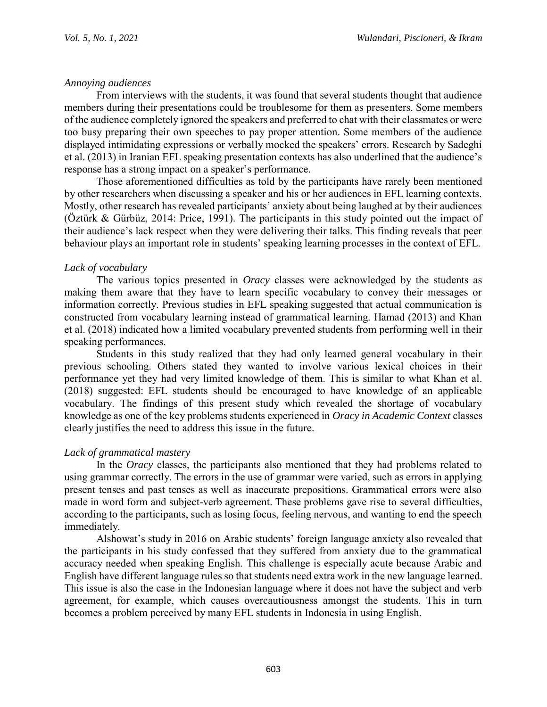### *Annoying audiences*

From interviews with the students, it was found that several students thought that audience members during their presentations could be troublesome for them as presenters. Some members of the audience completely ignored the speakers and preferred to chat with their classmates or were too busy preparing their own speeches to pay proper attention. Some members of the audience displayed intimidating expressions or verbally mocked the speakers' errors. Research by Sadeghi et al. (2013) in Iranian EFL speaking presentation contexts has also underlined that the audience's response has a strong impact on a speaker's performance.

Those aforementioned difficulties as told by the participants have rarely been mentioned by other researchers when discussing a speaker and his or her audiences in EFL learning contexts. Mostly, other research has revealed participants' anxiety about being laughed at by their audiences (Öztürk & Gürbüz, 2014: Price, 1991). The participants in this study pointed out the impact of their audience's lack respect when they were delivering their talks. This finding reveals that peer behaviour plays an important role in students' speaking learning processes in the context of EFL.

### *Lack of vocabulary*

The various topics presented in *Oracy* classes were acknowledged by the students as making them aware that they have to learn specific vocabulary to convey their messages or information correctly. Previous studies in EFL speaking suggested that actual communication is constructed from vocabulary learning instead of grammatical learning. Hamad (2013) and Khan et al. (2018) indicated how a limited vocabulary prevented students from performing well in their speaking performances.

Students in this study realized that they had only learned general vocabulary in their previous schooling. Others stated they wanted to involve various lexical choices in their performance yet they had very limited knowledge of them. This is similar to what Khan et al. (2018) suggested: EFL students should be encouraged to have knowledge of an applicable vocabulary. The findings of this present study which revealed the shortage of vocabulary knowledge as one of the key problems students experienced in *Oracy in Academic Context* classes clearly justifies the need to address this issue in the future.

## *Lack of grammatical mastery*

In the *Oracy* classes, the participants also mentioned that they had problems related to using grammar correctly. The errors in the use of grammar were varied, such as errors in applying present tenses and past tenses as well as inaccurate prepositions. Grammatical errors were also made in word form and subject-verb agreement. These problems gave rise to several difficulties, according to the participants, such as losing focus, feeling nervous, and wanting to end the speech immediately.

Alshowat's study in 2016 on Arabic students' foreign language anxiety also revealed that the participants in his study confessed that they suffered from anxiety due to the grammatical accuracy needed when speaking English. This challenge is especially acute because Arabic and English have different language rules so that students need extra work in the new language learned. This issue is also the case in the Indonesian language where it does not have the subject and verb agreement, for example, which causes overcautiousness amongst the students. This in turn becomes a problem perceived by many EFL students in Indonesia in using English.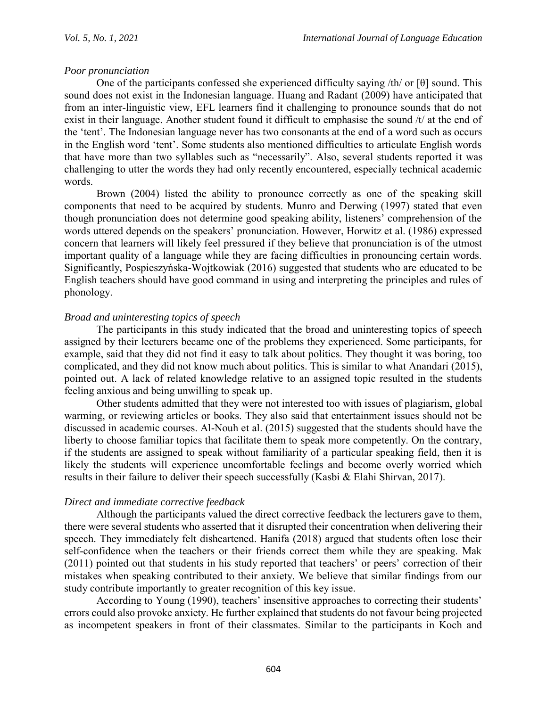### *Poor pronunciation*

One of the participants confessed she experienced difficulty saying /th/ or [θ] sound. This sound does not exist in the Indonesian language. Huang and Radant (2009) have anticipated that from an inter-linguistic view, EFL learners find it challenging to pronounce sounds that do not exist in their language. Another student found it difficult to emphasise the sound /t/ at the end of the 'tent'. The Indonesian language never has two consonants at the end of a word such as occurs in the English word 'tent'. Some students also mentioned difficulties to articulate English words that have more than two syllables such as "necessarily". Also, several students reported it was challenging to utter the words they had only recently encountered, especially technical academic words.

Brown (2004) listed the ability to pronounce correctly as one of the speaking skill components that need to be acquired by students. Munro and Derwing (1997) stated that even though pronunciation does not determine good speaking ability, listeners' comprehension of the words uttered depends on the speakers' pronunciation. However, Horwitz et al. (1986) expressed concern that learners will likely feel pressured if they believe that pronunciation is of the utmost important quality of a language while they are facing difficulties in pronouncing certain words. Significantly, Pospieszyńska-Wojtkowiak (2016) suggested that students who are educated to be English teachers should have good command in using and interpreting the principles and rules of phonology.

## *Broad and uninteresting topics of speech*

The participants in this study indicated that the broad and uninteresting topics of speech assigned by their lecturers became one of the problems they experienced. Some participants, for example, said that they did not find it easy to talk about politics. They thought it was boring, too complicated, and they did not know much about politics. This is similar to what Anandari (2015), pointed out. A lack of related knowledge relative to an assigned topic resulted in the students feeling anxious and being unwilling to speak up.

Other students admitted that they were not interested too with issues of plagiarism, global warming, or reviewing articles or books. They also said that entertainment issues should not be discussed in academic courses. Al-Nouh et al. (2015) suggested that the students should have the liberty to choose familiar topics that facilitate them to speak more competently. On the contrary, if the students are assigned to speak without familiarity of a particular speaking field, then it is likely the students will experience uncomfortable feelings and become overly worried which results in their failure to deliver their speech successfully (Kasbi & Elahi Shirvan, 2017).

## *Direct and immediate corrective feedback*

Although the participants valued the direct corrective feedback the lecturers gave to them, there were several students who asserted that it disrupted their concentration when delivering their speech. They immediately felt disheartened. Hanifa (2018) argued that students often lose their self-confidence when the teachers or their friends correct them while they are speaking. Mak (2011) pointed out that students in his study reported that teachers' or peers' correction of their mistakes when speaking contributed to their anxiety. We believe that similar findings from our study contribute importantly to greater recognition of this key issue.

According to Young (1990), teachers' insensitive approaches to correcting their students' errors could also provoke anxiety. He further explained that students do not favour being projected as incompetent speakers in front of their classmates. Similar to the participants in Koch and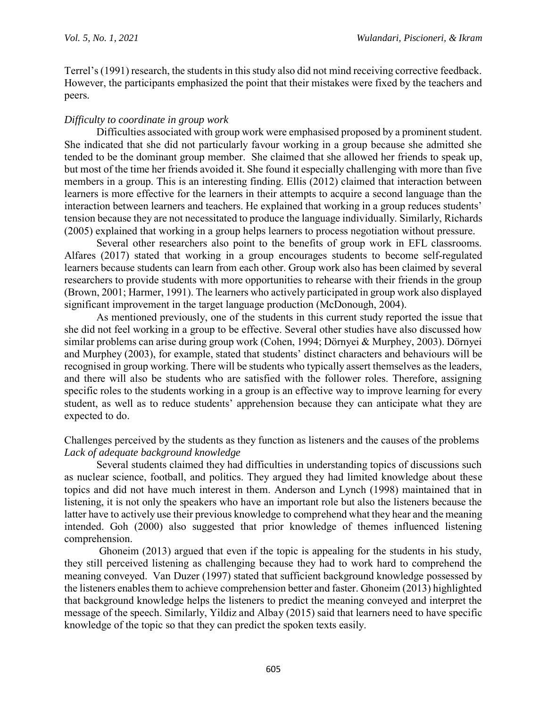Terrel's (1991) research, the students in this study also did not mind receiving corrective feedback. However, the participants emphasized the point that their mistakes were fixed by the teachers and peers.

### *Difficulty to coordinate in group work*

Difficulties associated with group work were emphasised proposed by a prominent student. She indicated that she did not particularly favour working in a group because she admitted she tended to be the dominant group member. She claimed that she allowed her friends to speak up, but most of the time her friends avoided it. She found it especially challenging with more than five members in a group. This is an interesting finding. Ellis (2012) claimed that interaction between learners is more effective for the learners in their attempts to acquire a second language than the interaction between learners and teachers. He explained that working in a group reduces students' tension because they are not necessitated to produce the language individually. Similarly, Richards (2005) explained that working in a group helps learners to process negotiation without pressure.

Several other researchers also point to the benefits of group work in EFL classrooms. Alfares (2017) stated that working in a group encourages students to become self-regulated learners because students can learn from each other. Group work also has been claimed by several researchers to provide students with more opportunities to rehearse with their friends in the group (Brown, 2001; Harmer, 1991). The learners who actively participated in group work also displayed significant improvement in the target language production (McDonough, 2004).

As mentioned previously, one of the students in this current study reported the issue that she did not feel working in a group to be effective. Several other studies have also discussed how similar problems can arise during group work (Cohen, 1994; Dörnyei & Murphey, 2003). Dörnyei and Murphey (2003), for example, stated that students' distinct characters and behaviours will be recognised in group working. There will be students who typically assert themselves as the leaders, and there will also be students who are satisfied with the follower roles. Therefore, assigning specific roles to the students working in a group is an effective way to improve learning for every student, as well as to reduce students' apprehension because they can anticipate what they are expected to do.

#### Challenges perceived by the students as they function as listeners and the causes of the problems *Lack of adequate background knowledge*

Several students claimed they had difficulties in understanding topics of discussions such as nuclear science, football, and politics. They argued they had limited knowledge about these topics and did not have much interest in them. Anderson and Lynch (1998) maintained that in listening, it is not only the speakers who have an important role but also the listeners because the latter have to actively use their previous knowledge to comprehend what they hear and the meaning intended. Goh (2000) also suggested that prior knowledge of themes influenced listening comprehension.

Ghoneim (2013) argued that even if the topic is appealing for the students in his study, they still perceived listening as challenging because they had to work hard to comprehend the meaning conveyed. Van Duzer (1997) stated that sufficient background knowledge possessed by the listeners enables them to achieve comprehension better and faster. Ghoneim (2013) highlighted that background knowledge helps the listeners to predict the meaning conveyed and interpret the message of the speech. Similarly, Yildiz and Albay (2015) said that learners need to have specific knowledge of the topic so that they can predict the spoken texts easily.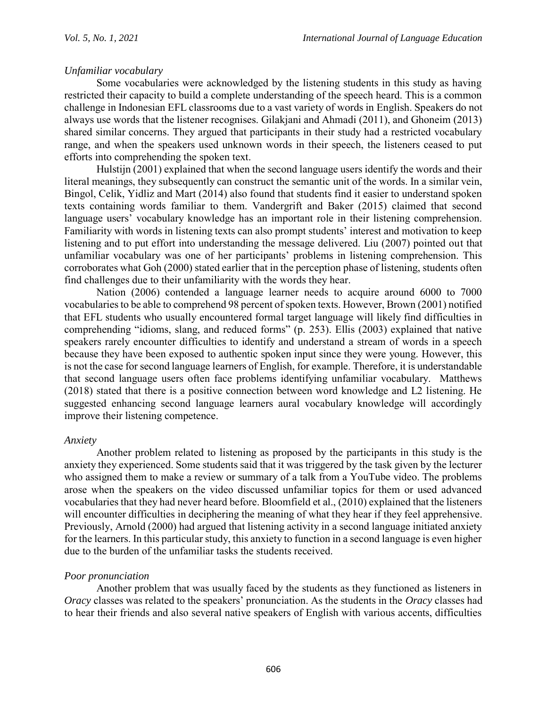## *Unfamiliar vocabulary*

Some vocabularies were acknowledged by the listening students in this study as having restricted their capacity to build a complete understanding of the speech heard. This is a common challenge in Indonesian EFL classrooms due to a vast variety of words in English. Speakers do not always use words that the listener recognises. Gilakjani and Ahmadi (2011), and Ghoneim (2013) shared similar concerns. They argued that participants in their study had a restricted vocabulary range, and when the speakers used unknown words in their speech, the listeners ceased to put efforts into comprehending the spoken text.

Hulstijn (2001) explained that when the second language users identify the words and their literal meanings, they subsequently can construct the semantic unit of the words. In a similar vein, Bingol, Celik, Yidliz and Mart (2014) also found that students find it easier to understand spoken texts containing words familiar to them. Vandergrift and Baker (2015) claimed that second language users' vocabulary knowledge has an important role in their listening comprehension. Familiarity with words in listening texts can also prompt students' interest and motivation to keep listening and to put effort into understanding the message delivered. Liu (2007) pointed out that unfamiliar vocabulary was one of her participants' problems in listening comprehension. This corroborates what Goh (2000) stated earlier that in the perception phase of listening, students often find challenges due to their unfamiliarity with the words they hear.

Nation (2006) contended a language learner needs to acquire around 6000 to 7000 vocabularies to be able to comprehend 98 percent of spoken texts. However, Brown (2001) notified that EFL students who usually encountered formal target language will likely find difficulties in comprehending "idioms, slang, and reduced forms" (p. 253). Ellis (2003) explained that native speakers rarely encounter difficulties to identify and understand a stream of words in a speech because they have been exposed to authentic spoken input since they were young. However, this is not the case for second language learners of English, for example. Therefore, it is understandable that second language users often face problems identifying unfamiliar vocabulary. Matthews (2018) stated that there is a positive connection between word knowledge and L2 listening. He suggested enhancing second language learners aural vocabulary knowledge will accordingly improve their listening competence.

#### *Anxiety*

Another problem related to listening as proposed by the participants in this study is the anxiety they experienced. Some students said that it was triggered by the task given by the lecturer who assigned them to make a review or summary of a talk from a YouTube video. The problems arose when the speakers on the video discussed unfamiliar topics for them or used advanced vocabularies that they had never heard before. Bloomfield et al., (2010) explained that the listeners will encounter difficulties in deciphering the meaning of what they hear if they feel apprehensive. Previously, Arnold (2000) had argued that listening activity in a second language initiated anxiety for the learners. In this particular study, this anxiety to function in a second language is even higher due to the burden of the unfamiliar tasks the students received.

## *Poor pronunciation*

Another problem that was usually faced by the students as they functioned as listeners in *Oracy* classes was related to the speakers' pronunciation. As the students in the *Oracy* classes had to hear their friends and also several native speakers of English with various accents, difficulties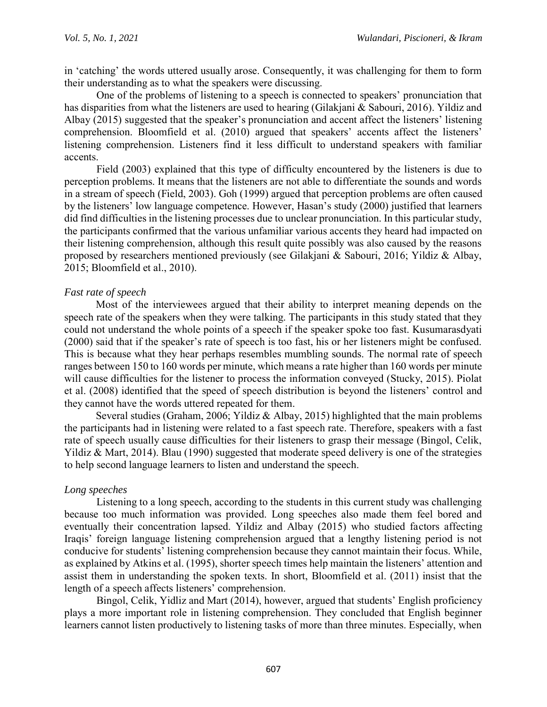in 'catching' the words uttered usually arose. Consequently, it was challenging for them to form their understanding as to what the speakers were discussing.

One of the problems of listening to a speech is connected to speakers' pronunciation that has disparities from what the listeners are used to hearing (Gilakjani & Sabouri, 2016). Yildiz and Albay (2015) suggested that the speaker's pronunciation and accent affect the listeners' listening comprehension. Bloomfield et al. (2010) argued that speakers' accents affect the listeners' listening comprehension. Listeners find it less difficult to understand speakers with familiar accents.

Field (2003) explained that this type of difficulty encountered by the listeners is due to perception problems. It means that the listeners are not able to differentiate the sounds and words in a stream of speech (Field, 2003). Goh (1999) argued that perception problems are often caused by the listeners' low language competence. However, Hasan's study (2000) justified that learners did find difficulties in the listening processes due to unclear pronunciation. In this particular study, the participants confirmed that the various unfamiliar various accents they heard had impacted on their listening comprehension, although this result quite possibly was also caused by the reasons proposed by researchers mentioned previously (see Gilakjani & Sabouri, 2016; Yildiz & Albay, 2015; Bloomfield et al., 2010).

#### *Fast rate of speech*

Most of the interviewees argued that their ability to interpret meaning depends on the speech rate of the speakers when they were talking. The participants in this study stated that they could not understand the whole points of a speech if the speaker spoke too fast. Kusumarasdyati (2000) said that if the speaker's rate of speech is too fast, his or her listeners might be confused. This is because what they hear perhaps resembles mumbling sounds. The normal rate of speech ranges between 150 to 160 words per minute, which means a rate higher than 160 words per minute will cause difficulties for the listener to process the information conveyed (Stucky, 2015). Piolat et al. (2008) identified that the speed of speech distribution is beyond the listeners' control and they cannot have the words uttered repeated for them.

Several studies (Graham, 2006; Yildiz & Albay, 2015) highlighted that the main problems the participants had in listening were related to a fast speech rate. Therefore, speakers with a fast rate of speech usually cause difficulties for their listeners to grasp their message (Bingol, Celik, Yildiz & Mart, 2014). Blau (1990) suggested that moderate speed delivery is one of the strategies to help second language learners to listen and understand the speech.

#### *Long speeches*

Listening to a long speech, according to the students in this current study was challenging because too much information was provided. Long speeches also made them feel bored and eventually their concentration lapsed. Yildiz and Albay (2015) who studied factors affecting Iraqis' foreign language listening comprehension argued that a lengthy listening period is not conducive for students' listening comprehension because they cannot maintain their focus. While, as explained by Atkins et al. (1995), shorter speech times help maintain the listeners' attention and assist them in understanding the spoken texts. In short, Bloomfield et al. (2011) insist that the length of a speech affects listeners' comprehension.

Bingol, Celik, Yidliz and Mart (2014), however, argued that students' English proficiency plays a more important role in listening comprehension. They concluded that English beginner learners cannot listen productively to listening tasks of more than three minutes. Especially, when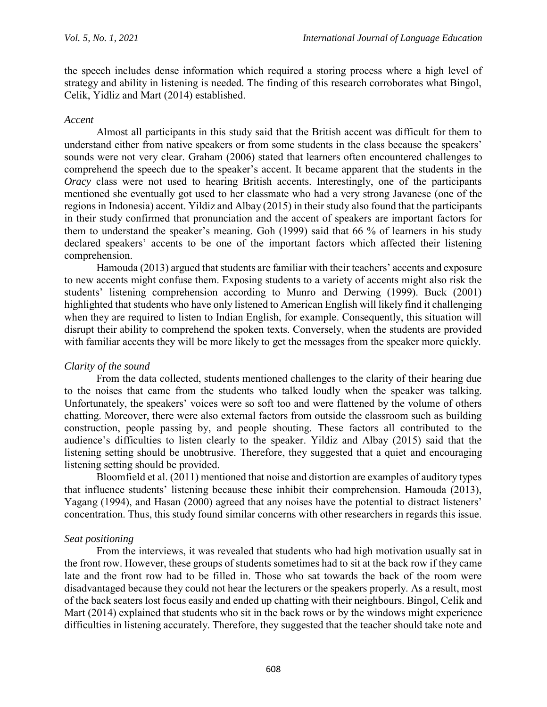the speech includes dense information which required a storing process where a high level of strategy and ability in listening is needed. The finding of this research corroborates what Bingol, Celik, Yidliz and Mart (2014) established.

#### *Accent*

Almost all participants in this study said that the British accent was difficult for them to understand either from native speakers or from some students in the class because the speakers' sounds were not very clear. Graham (2006) stated that learners often encountered challenges to comprehend the speech due to the speaker's accent. It became apparent that the students in the *Oracy* class were not used to hearing British accents. Interestingly, one of the participants mentioned she eventually got used to her classmate who had a very strong Javanese (one of the regions in Indonesia) accent. Yildiz and Albay (2015) in their study also found that the participants in their study confirmed that pronunciation and the accent of speakers are important factors for them to understand the speaker's meaning. Goh (1999) said that 66 % of learners in his study declared speakers' accents to be one of the important factors which affected their listening comprehension.

Hamouda (2013) argued that students are familiar with their teachers' accents and exposure to new accents might confuse them. Exposing students to a variety of accents might also risk the students' listening comprehension according to Munro and Derwing (1999). Buck (2001) highlighted that students who have only listened to American English will likely find it challenging when they are required to listen to Indian English, for example. Consequently, this situation will disrupt their ability to comprehend the spoken texts. Conversely, when the students are provided with familiar accents they will be more likely to get the messages from the speaker more quickly.

#### *Clarity of the sound*

From the data collected, students mentioned challenges to the clarity of their hearing due to the noises that came from the students who talked loudly when the speaker was talking. Unfortunately, the speakers' voices were so soft too and were flattened by the volume of others chatting. Moreover, there were also external factors from outside the classroom such as building construction, people passing by, and people shouting. These factors all contributed to the audience's difficulties to listen clearly to the speaker. Yildiz and Albay (2015) said that the listening setting should be unobtrusive. Therefore, they suggested that a quiet and encouraging listening setting should be provided.

Bloomfield et al. (2011) mentioned that noise and distortion are examples of auditory types that influence students' listening because these inhibit their comprehension. Hamouda (2013), Yagang (1994), and Hasan (2000) agreed that any noises have the potential to distract listeners' concentration. Thus, this study found similar concerns with other researchers in regards this issue.

#### *Seat positioning*

From the interviews, it was revealed that students who had high motivation usually sat in the front row. However, these groups of students sometimes had to sit at the back row if they came late and the front row had to be filled in. Those who sat towards the back of the room were disadvantaged because they could not hear the lecturers or the speakers properly. As a result, most of the back seaters lost focus easily and ended up chatting with their neighbours. Bingol, Celik and Mart (2014) explained that students who sit in the back rows or by the windows might experience difficulties in listening accurately. Therefore, they suggested that the teacher should take note and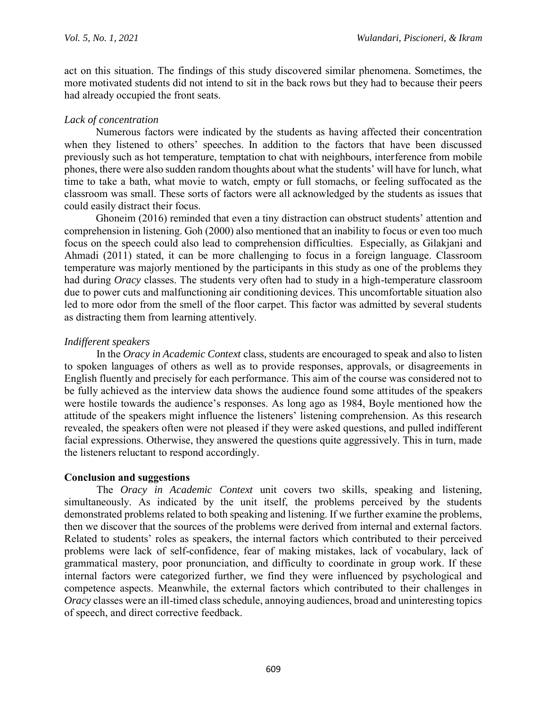act on this situation. The findings of this study discovered similar phenomena. Sometimes, the more motivated students did not intend to sit in the back rows but they had to because their peers had already occupied the front seats.

#### *Lack of concentration*

Numerous factors were indicated by the students as having affected their concentration when they listened to others' speeches. In addition to the factors that have been discussed previously such as hot temperature, temptation to chat with neighbours, interference from mobile phones, there were also sudden random thoughts about what the students' will have for lunch, what time to take a bath, what movie to watch, empty or full stomachs, or feeling suffocated as the classroom was small. These sorts of factors were all acknowledged by the students as issues that could easily distract their focus.

Ghoneim (2016) reminded that even a tiny distraction can obstruct students' attention and comprehension in listening. Goh (2000) also mentioned that an inability to focus or even too much focus on the speech could also lead to comprehension difficulties. Especially, as Gilakjani and Ahmadi (2011) stated, it can be more challenging to focus in a foreign language. Classroom temperature was majorly mentioned by the participants in this study as one of the problems they had during *Oracy* classes. The students very often had to study in a high-temperature classroom due to power cuts and malfunctioning air conditioning devices. This uncomfortable situation also led to more odor from the smell of the floor carpet. This factor was admitted by several students as distracting them from learning attentively.

#### *Indifferent speakers*

In the *Oracy in Academic Context* class, students are encouraged to speak and also to listen to spoken languages of others as well as to provide responses, approvals, or disagreements in English fluently and precisely for each performance. This aim of the course was considered not to be fully achieved as the interview data shows the audience found some attitudes of the speakers were hostile towards the audience's responses. As long ago as 1984, Boyle mentioned how the attitude of the speakers might influence the listeners' listening comprehension. As this research revealed, the speakers often were not pleased if they were asked questions, and pulled indifferent facial expressions. Otherwise, they answered the questions quite aggressively. This in turn, made the listeners reluctant to respond accordingly.

#### **Conclusion and suggestions**

The *Oracy in Academic Context* unit covers two skills, speaking and listening, simultaneously. As indicated by the unit itself, the problems perceived by the students demonstrated problems related to both speaking and listening. If we further examine the problems, then we discover that the sources of the problems were derived from internal and external factors. Related to students' roles as speakers, the internal factors which contributed to their perceived problems were lack of self-confidence, fear of making mistakes, lack of vocabulary, lack of grammatical mastery, poor pronunciation, and difficulty to coordinate in group work. If these internal factors were categorized further, we find they were influenced by psychological and competence aspects. Meanwhile, the external factors which contributed to their challenges in *Oracy* classes were an ill-timed class schedule, annoying audiences, broad and uninteresting topics of speech, and direct corrective feedback.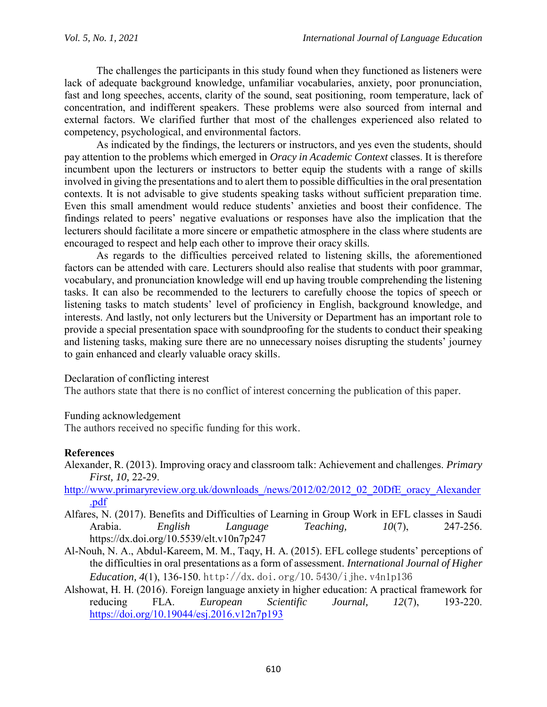The challenges the participants in this study found when they functioned as listeners were lack of adequate background knowledge, unfamiliar vocabularies, anxiety, poor pronunciation, fast and long speeches, accents, clarity of the sound, seat positioning, room temperature, lack of concentration, and indifferent speakers. These problems were also sourced from internal and external factors. We clarified further that most of the challenges experienced also related to competency, psychological, and environmental factors.

As indicated by the findings, the lecturers or instructors, and yes even the students, should pay attention to the problems which emerged in *Oracy in Academic Context* classes. It is therefore incumbent upon the lecturers or instructors to better equip the students with a range of skills involved in giving the presentations and to alert them to possible difficulties in the oral presentation contexts. It is not advisable to give students speaking tasks without sufficient preparation time. Even this small amendment would reduce students' anxieties and boost their confidence. The findings related to peers' negative evaluations or responses have also the implication that the lecturers should facilitate a more sincere or empathetic atmosphere in the class where students are encouraged to respect and help each other to improve their oracy skills.

As regards to the difficulties perceived related to listening skills, the aforementioned factors can be attended with care. Lecturers should also realise that students with poor grammar, vocabulary, and pronunciation knowledge will end up having trouble comprehending the listening tasks. It can also be recommended to the lecturers to carefully choose the topics of speech or listening tasks to match students' level of proficiency in English, background knowledge, and interests. And lastly, not only lecturers but the University or Department has an important role to provide a special presentation space with soundproofing for the students to conduct their speaking and listening tasks, making sure there are no unnecessary noises disrupting the students' journey to gain enhanced and clearly valuable oracy skills.

#### Declaration of conflicting interest

The authors state that there is no conflict of interest concerning the publication of this paper.

#### Funding acknowledgement

The authors received no specific funding for this work.

#### **References**

- Alexander, R. (2013). Improving oracy and classroom talk: Achievement and challenges. *Primary First, 10,* 22-29.
- http://www.primaryreview.org.uk/downloads/news/2012/02/2012\_02\_20DfE\_oracy\_Alexander [.pdf](http://www.primaryreview.org.uk/downloads_/news/2012/02/2012_02_20DfE_oracy_Alexander.pdf)
- Alfares, N. (2017). Benefits and Difficulties of Learning in Group Work in EFL classes in Saudi Arabia. *English Language Teaching, 10*(7), 247-256. https://dx.doi.org/10.5539/elt.v10n7p247
- Al-Nouh, N. A., Abdul-Kareem, M. M., Taqy, H. A. (2015). EFL college students' perceptions of the difficulties in oral presentations as a form of assessment. *International Journal of Higher Education, 4*(1), 136-150. http://dx.doi.org/10.5430/ijhe.v4n1p136
- Alshowat, H. H. (2016). Foreign language anxiety in higher education: A practical framework for reducing FLA. *European Scientific Journal, 12*(7), 193-220. <https://doi.org/10.19044/esj.2016.v12n7p193>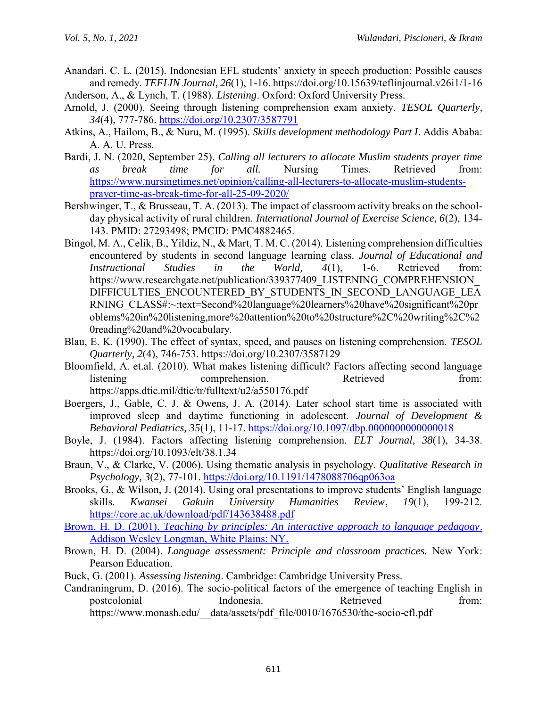- Anandari. C. L. (2015). Indonesian EFL students' anxiety in speech production: Possible causes and remedy. *TEFLIN Journal, 26*(1), 1-16. https://doi.org/10.15639/teflinjournal.v26i1/1-16 Anderson, A., & Lynch, T. (1988). *Listening*. Oxford: Oxford University Press.
- Arnold, J. (2000). Seeing through listening comprehension exam anxiety. *TESOL Quarterly, 34*(4), 777-786.<https://doi.org/10.2307/3587791>
- Atkins, A., Hailom, B., & Nuru, M. (1995). *Skills development methodology Part I*. Addis Ababa: A. A. U. Press.
- Bardi, J. N. (2020, September 25). *Calling all lecturers to allocate Muslim students prayer time as break time for all.* Nursing Times. Retrieved from: [https://www.nursingtimes.net/opinion/calling-all-lecturers-to-allocate-muslim-students](https://www.nursingtimes.net/opinion/calling-all-lecturers-to-allocate-muslim-students-prayer-time-as-break-time-for-all-25-09-2020/)[prayer-time-as-break-time-for-all-25-09-2020/](https://www.nursingtimes.net/opinion/calling-all-lecturers-to-allocate-muslim-students-prayer-time-as-break-time-for-all-25-09-2020/)
- Bershwinger, T., & Brusseau, T. A. (2013). The impact of classroom activity breaks on the schoolday physical activity of rural children. *International Journal of Exercise Science, 6*(2), 134- 143. PMID: 27293498; PMCID: PMC4882465.
- Bingol, M. A., Celik, B., Yildiz, N., & Mart, T. M. C. (2014). Listening comprehension difficulties encountered by students in second language learning class. *Journal of Educational and Instructional Studies in the World, 4*(1), 1-6. Retrieved from: https://www.researchgate.net/publication/339377409\_LISTENING\_COMPREHENSION DIFFICULTIES\_ENCOUNTERED\_BY\_STUDENTS\_IN\_SECOND\_LANGUAGE\_LEA RNING\_CLASS#:~:text=Second%20language%20learners%20have%20significant%20pr oblems%20in%20listening,more%20attention%20to%20structure%2C%20writing%2C%2 0reading%20and%20vocabulary.
- Blau, E. K. (1990). The effect of syntax, speed, and pauses on listening comprehension. *TESOL Quarterly, 2*(4), 746-753. https://doi.org/10.2307/3587129
- Bloomfield, A. et.al. (2010). What makes listening difficult? Factors affecting second language listening comprehension. Retrieved from: https://apps.dtic.mil/dtic/tr/fulltext/u2/a550176.pdf
- Boergers, J., Gable, C. J. & Owens, J. A. (2014). Later school start time is associated with improved sleep and daytime functioning in adolescent. *Journal of Development & Behavioral Pediatrics, 35*(1), 11-17. <https://doi.org/10.1097/dbp.0000000000000018>
- Boyle, J. (1984). Factors affecting listening comprehension. *ELT Journal, 38*(1), 34-38. https://doi.org/10.1093/elt/38.1.34
- Braun, V., & Clarke, V. (2006). Using thematic analysis in psychology. *Qualitative Research in Psychology, 3*(2), 77-101. <https://doi.org/10.1191/1478088706qp063oa>
- Brooks, G., & Wilson, J. (2014). Using oral presentations to improve students' English language skills. *Kwansei Gakuin University Humanities Review*, *19*(1), 199-212. <https://core.ac.uk/download/pdf/143638488.pdf>
- Brown, H. D. (2001). *Teaching by principles: An interactive approach to language pedagogy*. Addison Wesley Longman, White Plains: NY.
- Brown, H. D. (2004). *Language assessment: Principle and classroom practices.* New York: Pearson Education.
- Buck, G. (2001). *Assessing listening*. Cambridge: Cambridge University Press.
- Candraningrum, D. (2016). The socio-political factors of the emergence of teaching English in postcolonial Indonesia. Retrieved from: https://www.monash.edu/\_data/assets/pdf\_file/0010/1676530/the-socio-efl.pdf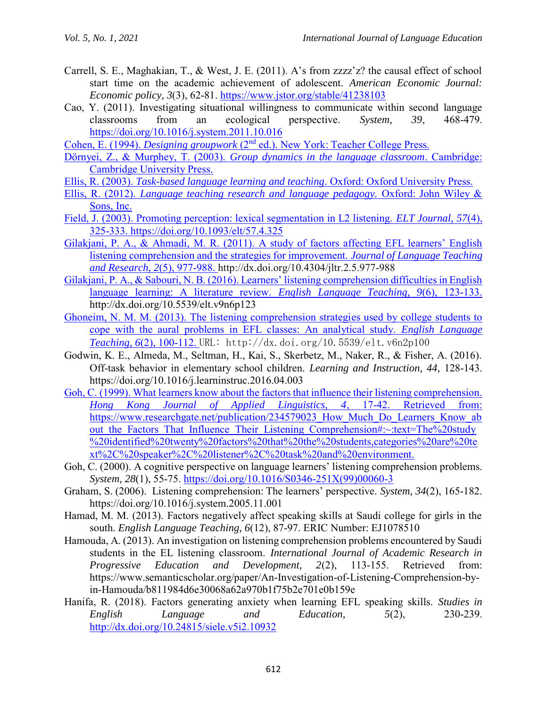Carrell, S. E., Maghakian, T., & West, J. E. (2011). A's from zzzz'z? the causal effect of school start time on the academic achievement of adolescent. *American Economic Journal: Economic policy, 3*(3), 62-81.<https://www.jstor.org/stable/41238103>

Cao, Y. (2011). Investigating situational willingness to communicate within second language classrooms from an ecological perspective. *System, 39*, 468-479. <https://doi.org/10.1016/j.system.2011.10.016>

Cohen, E. (1994). *Designing groupwork* (2nd ed.). New York: Teacher College Press.

- Dörnyei, Z., & Murphey, T. (2003). *Group dynamics in the language classroom*. Cambridge: Cambridge University Press.
- Ellis, R. (2003). *Task-based language learning and teaching*. Oxford: Oxford University Press.
- Ellis, R. (2012). *Language teaching research and language pedagogy.* Oxford: John Wiley & Sons, Inc.
- Field, J. (2003). Promoting perception: lexical segmentation in L2 listening. *ELT Journal, 57*(4), 325-333. https://doi.org/10.1093/elt/57.4.325
- Gilakjani, P. A., & Ahmadi, M. R. (2011). A study of factors affecting EFL learners' English listening comprehension and the strategies for improvement. *Journal of Language Teaching and Research, 2*(5), 977-988. http://dx.doi.org/10.4304/jltr.2.5.977-988
- Gilakjani, P. A., & Sabouri, N. B. (2016). Learners' listening comprehension difficulties in English language learning: A literature review. *English Language Teaching, 9*(6), 123-133. http://dx.doi.org/10.5539/elt.v9n6p123
- Ghoneim, N. M. M. (2013). The listening comprehension strategies used by college students to cope with the aural problems in EFL classes: An analytical study. *English Language Teaching, 6*(2), 100-112. URL: http://dx.doi.org/10.5539/elt.v6n2p100
- Godwin, K. E., Almeda, M., Seltman, H., Kai, S., Skerbetz, M., Naker, R., & Fisher, A. (2016). Off-task behavior in elementary school children. *Learning and Instruction, 44,* 128-143. https://doi.org/10.1016/j.learninstruc.2016.04.003
- Goh, C. (1999). What learners know about the factors that influence their listening comprehension. *Hong Kong Journal of Applied Linguistics, 4*, 17-42. Retrieved from: https://www.researchgate.net/publication/234579023\_How\_Much\_Do\_Learners\_Know\_ab out the Factors That Influence Their Listening Comprehension#:~:text=The%20study %20identified%20twenty%20factors%20that%20the%20students,categories%20are%20te xt%2C%20speaker%2C%20listener%2C%20task%20and%20environment.
- Goh, C. (2000). A cognitive perspective on language learners' listening comprehension problems. *System, 28*(1), 55-75. [https://doi.org/10.1016/S0346-251X\(99\)00060-3](https://doi.org/10.1016/S0346-251X(99)00060-3)
- Graham, S. (2006). Listening comprehension: The learners' perspective. *System, 34*(2), 165-182. https://doi.org/10.1016/j.system.2005.11.001
- Hamad, M. M. (2013). Factors negatively affect speaking skills at Saudi college for girls in the south. *English Language Teaching, 6*(12), 87-97. ERIC Number: EJ1078510
- Hamouda, A. (2013). An investigation on listening comprehension problems encountered by Saudi students in the EL listening classroom. *International Journal of Academic Research in Progressive Education and Development, 2*(2), 113-155. Retrieved from: https://www.semanticscholar.org/paper/An-Investigation-of-Listening-Comprehension-byin-Hamouda/b811984d6e30068a62a970b1f75b2e701e0b159e
- Hanifa, R. (2018). Factors generating anxiety when learning EFL speaking skills. *Studies in English Language and Education, 5*(2), 230-239. <http://dx.doi.org/10.24815/siele.v5i2.10932>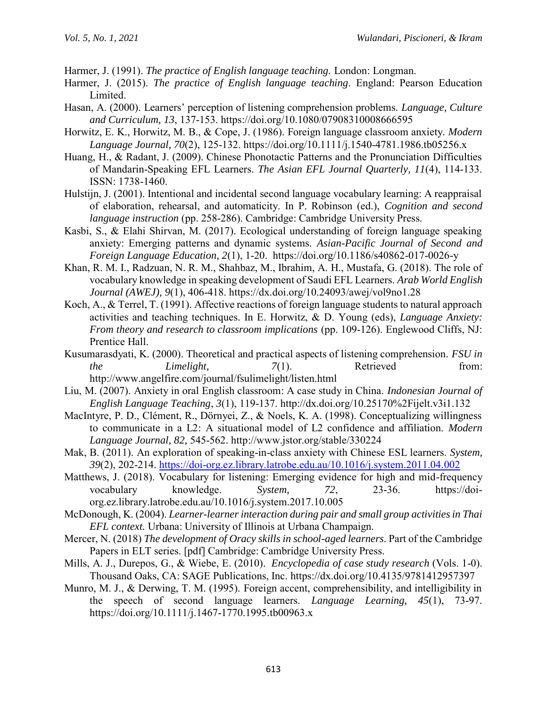Harmer, J. (1991). *The practice of English language teaching.* London: Longman.

- Harmer, J. (2015). *The practice of English language teaching*. England: Pearson Education Limited.
- Hasan, A. (2000). Learners' perception of listening comprehension problems. *Language, Culture and Curriculum, 13*, 137-153. https://doi.org/10.1080/07908310008666595
- Horwitz, E. K., Horwitz, M. B., & Cope, J. (1986). Foreign language classroom anxiety. *Modern Language Journal, 70*(2), 125-132. https://doi.org/10.1111/j.1540-4781.1986.tb05256.x
- Huang, H., & Radant, J. (2009). Chinese Phonotactic Patterns and the Pronunciation Difficulties of Mandarin-Speaking EFL Learners. *The Asian EFL Journal Quarterly, 11*(4), 114-133. ISSN: 1738-1460.
- Hulstijn, J. (2001). Intentional and incidental second language vocabulary learning: A reappraisal of elaboration, rehearsal, and automaticity. In P. Robinson (ed.), *Cognition and second language instruction* (pp. 258-286). Cambridge: Cambridge University Press.
- Kasbi, S., & Elahi Shirvan, M. (2017). Ecological understanding of foreign language speaking anxiety: Emerging patterns and dynamic systems. *Asian-Pacific Journal of Second and Foreign Language Education, 2*(1), 1-20. https://doi.org/10.1186/s40862-017-0026-y
- Khan, R. M. I., Radzuan, N. R. M., Shahbaz, M., Ibrahim, A. H., Mustafa, G. (2018). The role of vocabulary knowledge in speaking development of Saudi EFL Learners. *Arab World English Journal (AWEJ), 9*(1), 406-418. https://dx.doi.org/10.24093/awej/vol9no1.28
- Koch, A., & Terrel, T. (1991). Affective reactions of foreign language students to natural approach activities and teaching techniques. In E. Horwitz, & D. Young (eds), *Language Anxiety: From theory and research to classroom implications (pp. 109-126). Englewood Cliffs, NJ:* Prentice Hall.
- Kusumarasdyati, K. (2000). Theoretical and practical aspects of listening comprehension. *FSU in the Limelight,*  $7(1)$ . Retrieved from: http://www.angelfire.com/journal/fsulimelight/listen.html
- Liu, M. (2007). Anxiety in oral English classroom: A case study in China. *Indonesian Journal of English Language Teaching*, *3*(1), 119-137. http://dx.doi.org/10.25170%2Fijelt.v3i1.132
- MacIntyre, P. D., Clément, R., Dörnyei, Z., & Noels, K. A. (1998). Conceptualizing willingness to communicate in a L2: A situational model of L2 confidence and affiliation. *Modern Language Journal, 82,* 545-562. http://www.jstor.org/stable/330224
- Mak, B. (2011). An exploration of speaking-in-class anxiety with Chinese ESL learners. *System, 39*(2), 202-214.<https://doi-org.ez.library.latrobe.edu.au/10.1016/j.system.2011.04.002>
- Matthews, J. (2018). Vocabulary for listening: Emerging evidence for high and mid-frequency vocabulary knowledge. *System, 72*, 23-36. https://doiorg.ez.library.latrobe.edu.au/10.1016/j.system.2017.10.005
- McDonough, K. (2004). *Learner-learner interaction during pair and small group activities in Thai EFL context.* Urbana: University of Illinois at Urbana Champaign.
- Mercer, N. (2018) *The development of Oracy skills in school-aged learners*. Part of the Cambridge Papers in ELT series. [pdf] Cambridge: Cambridge University Press.
- Mills, A. J., Durepos, G., & Wiebe, E. (2010). *Encyclopedia of case study research* (Vols. 1-0). Thousand Oaks, CA: SAGE Publications, Inc. https://dx.doi.org/10.4135/9781412957397
- Munro, M. J., & Derwing, T. M. (1995). Foreign accent, comprehensibility, and intelligibility in the speech of second language learners. *Language Learning, 45*(1), 73-97. https://doi.org/10.1111/j.1467-1770.1995.tb00963.x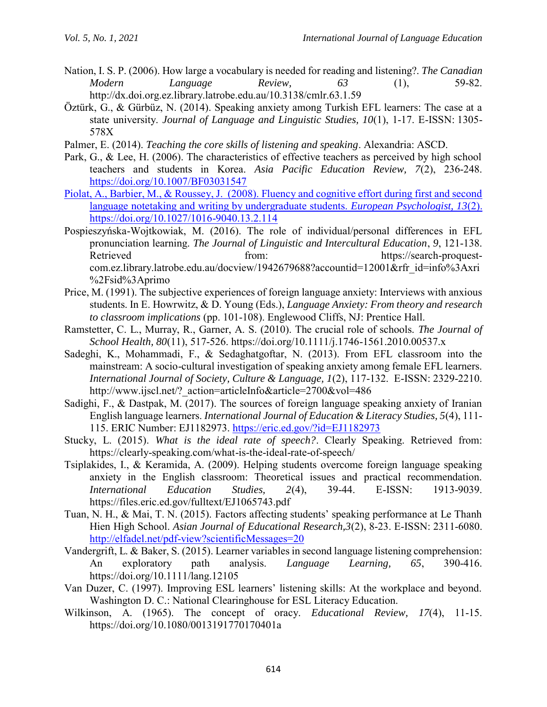- Nation, I. S. P. (2006). How large a vocabulary is needed for reading and listening?. *The Canadian Modern Language Review, 63* (1), 59-82. http://dx.doi.org.ez.library.latrobe.edu.au/10.3138/cmlr.63.1.59
- Öztürk, G., & Gürbüz, N. (2014). Speaking anxiety among Turkish EFL learners: The case at a state university. *Journal of Language and Linguistic Studies, 10*(1), 1-17. E-ISSN: 1305- 578X
- Palmer, E. (2014). *Teaching the core skills of listening and speaking*. Alexandria: ASCD.
- Park, G., & Lee, H. (2006). The characteristics of effective teachers as perceived by high school teachers and students in Korea. *Asia Pacific Education Review, 7*(2), 236-248. <https://doi.org/10.1007/BF03031547>
- Piolat, A., Barbier, M., & Roussey, J. (2008). Fluency and cognitive effort during first and second language notetaking and writing by undergraduate students. *European Psychologist, 13*(2). https://doi.org/10.1027/1016-9040.13.2.114
- Pospieszyńska-Wojtkowiak, M. (2016). The role of individual/personal differences in EFL pronunciation learning. *The Journal of Linguistic and Intercultural Education*, *9*, 121-138. Retrieved from: https://search-proquestcom.ez.library.latrobe.edu.au/docview/1942679688?accountid=12001&rfr\_id=info%3Axri %2Fsid%3Aprimo
- Price, M. (1991). The subjective experiences of foreign language anxiety: Interviews with anxious students. In E. Howrwitz, & D. Young (Eds.), *Language Anxiety: From theory and research to classroom implications* (pp. 101-108). Englewood Cliffs, NJ: Prentice Hall.
- Ramstetter, C. L., Murray, R., Garner, A. S. (2010). The crucial role of schools. *The Journal of School Health, 80*(11), 517-526. https://doi.org/10.1111/j.1746-1561.2010.00537.x
- Sadeghi, K., Mohammadi, F., & Sedaghatgoftar, N. (2013). From EFL classroom into the mainstream: A socio-cultural investigation of speaking anxiety among female EFL learners. *International Journal of Society, Culture & Language, 1*(2), 117-132. E-ISSN: 2329-2210. http://www.ijscl.net/? action=articleInfo&article=2700&vol=486
- Sadighi, F., & Dastpak, M. (2017). The sources of foreign language speaking anxiety of Iranian English language learners. *International Journal of Education & Literacy Studies, 5*(4), 111- 115. ERIC Number: EJ1182973.<https://eric.ed.gov/?id=EJ1182973>
- Stucky, L. (2015). *What is the ideal rate of speech?*. Clearly Speaking. Retrieved from: https://clearly-speaking.com/what-is-the-ideal-rate-of-speech/
- Tsiplakides, I., & Keramida, A. (2009). Helping students overcome foreign language speaking anxiety in the English classroom: Theoretical issues and practical recommendation. *International Education Studies, 2*(4), 39-44. E-ISSN: 1913-9039. https://files.eric.ed.gov/fulltext/EJ1065743.pdf
- Tuan, N. H., & Mai, T. N. (2015). Factors affecting students' speaking performance at Le Thanh Hien High School. *Asian Journal of Educational Research,3*(2), 8-23. E-ISSN: 2311-6080. <http://elfadel.net/pdf-view?scientificMessages=20>
- Vandergrift, L. & Baker, S. (2015). Learner variables in second language listening comprehension: An exploratory path analysis. *Language Learning, 65*, 390-416. https://doi.org/10.1111/lang.12105
- Van Duzer, C. (1997). Improving ESL learners' listening skills: At the workplace and beyond. Washington D. C.: National Clearinghouse for ESL Literacy Education.
- Wilkinson, A. (1965). The concept of oracy. *Educational Review, 17*(4), 11-15. https://doi.org/10.1080/0013191770170401a